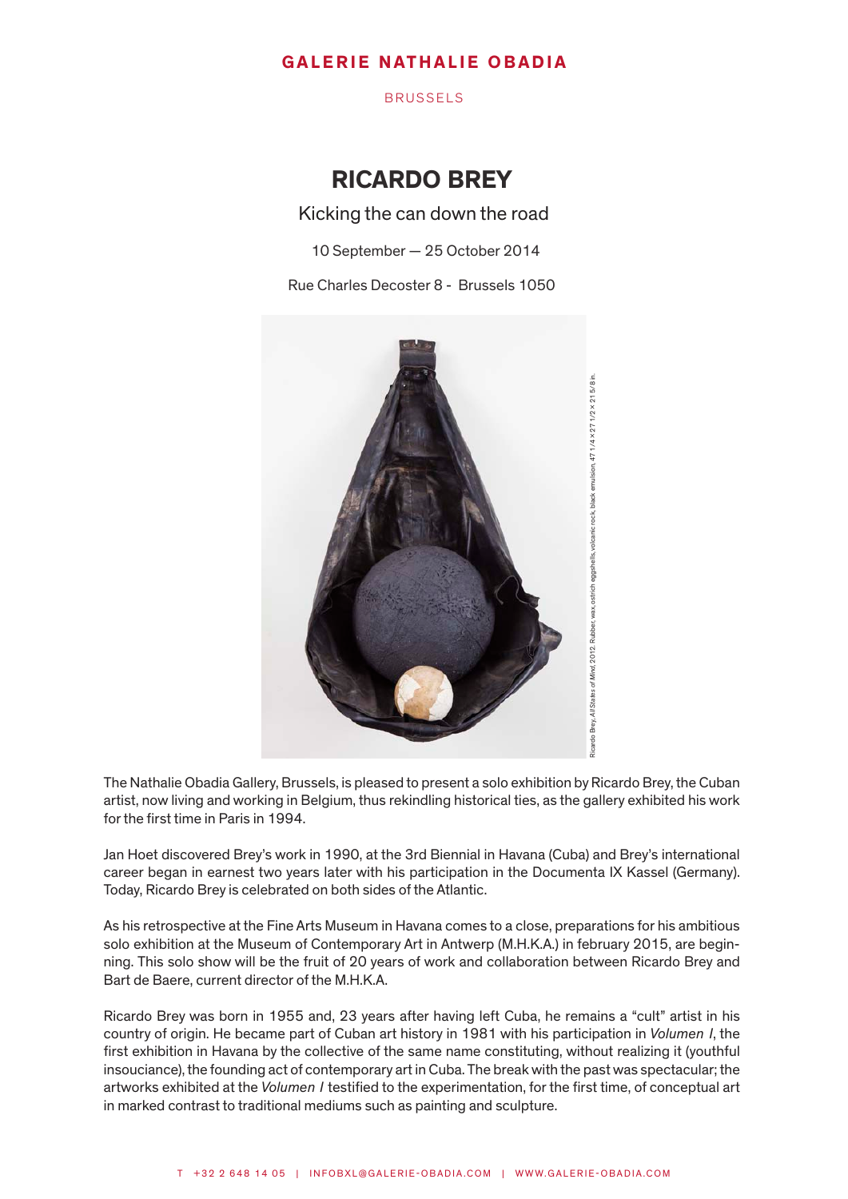BRUSSELS

# RICARDO BREY

Kicking the can down the road

10 September — 25 October 2014

Rue Charles Decoster 8 - Brussels 1050



The Nathalie Obadia Gallery, Brussels, is pleased to present a solo exhibition by Ricardo Brey, the Cuban artist, now living and working in Belgium, thus rekindling historical ties, as the gallery exhibited his work for the first time in Paris in 1994.

Jan Hoet discovered Brey's work in 1990, at the 3rd Biennial in Havana (Cuba) and Brey's international career began in earnest two years later with his participation in the Documenta IX Kassel (Germany). Today, Ricardo Brey is celebrated on both sides of the Atlantic.

As his retrospective at the Fine Arts Museum in Havana comes to a close, preparations for his ambitious solo exhibition at the Museum of Contemporary Art in Antwerp (M.H.K.A.) in february 2015, are beginning. This solo show will be the fruit of 20 years of work and collaboration between Ricardo Brey and Bart de Baere, current director of the M.H.K.A.

Ricardo Brey was born in 1955 and, 23 years after having left Cuba, he remains a "cult" artist in his country of origin. He became part of Cuban art history in 1981 with his participation in *Volumen I*, the first exhibition in Havana by the collective of the same name constituting, without realizing it (youthful insouciance), the founding act of contemporary art in Cuba. The break with the past was spectacular; the artworks exhibited at the *Volumen I* testified to the experimentation, for the first time, of conceptual art in marked contrast to traditional mediums such as painting and sculpture.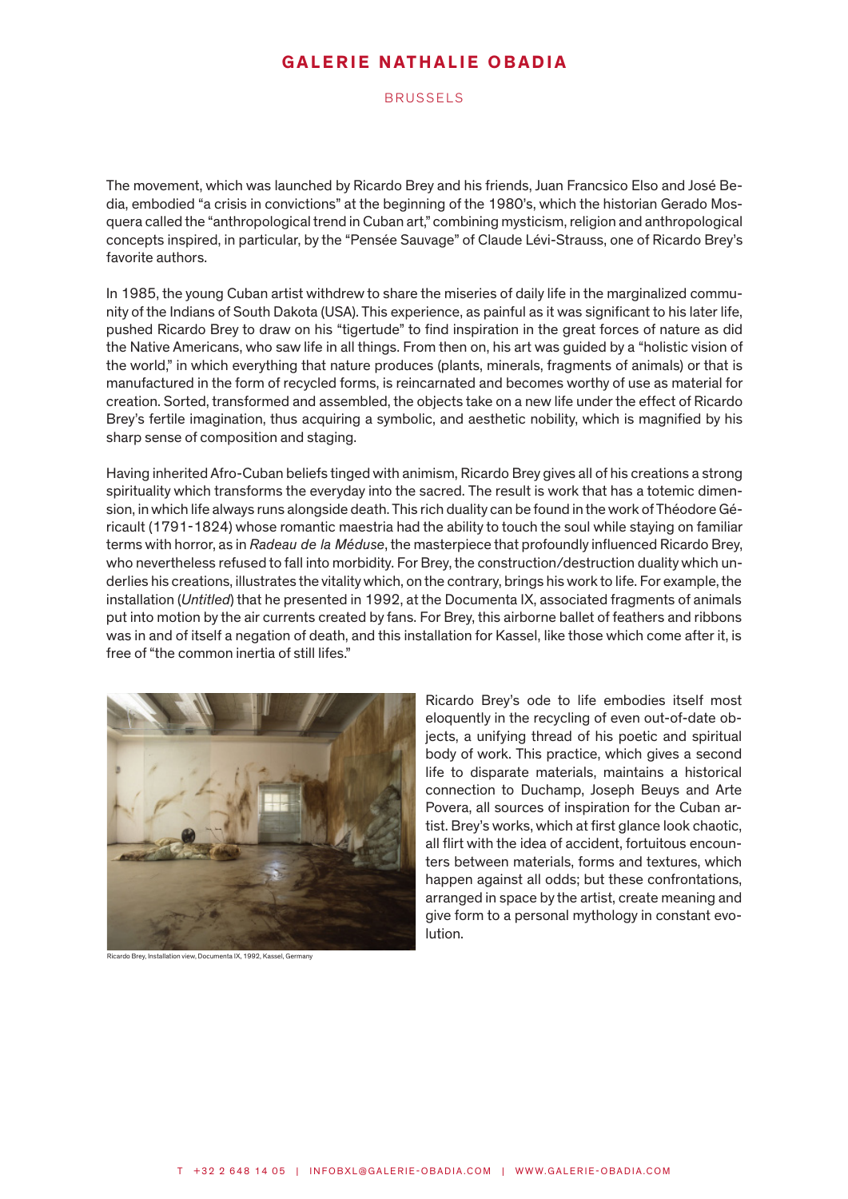BRUSSELS

The movement, which was launched by Ricardo Brey and his friends, Juan Francsico Elso and José Bedia, embodied "a crisis in convictions" at the beginning of the 1980's, which the historian Gerado Mosquera called the "anthropological trend in Cuban art," combining mysticism, religion and anthropological concepts inspired, in particular, by the "Pensée Sauvage" of Claude Lévi-Strauss, one of Ricardo Brey's favorite authors.

In 1985, the young Cuban artist withdrew to share the miseries of daily life in the marginalized community of the Indians of South Dakota (USA). This experience, as painful as it was significant to his later life, pushed Ricardo Brey to draw on his "tigertude" to find inspiration in the great forces of nature as did the Native Americans, who saw life in all things. From then on, his art was guided by a "holistic vision of the world," in which everything that nature produces (plants, minerals, fragments of animals) or that is manufactured in the form of recycled forms, is reincarnated and becomes worthy of use as material for creation. Sorted, transformed and assembled, the objects take on a new life under the effect of Ricardo Brey's fertile imagination, thus acquiring a symbolic, and aesthetic nobility, which is magnified by his sharp sense of composition and staging.

Having inherited Afro-Cuban beliefs tinged with animism, Ricardo Brey gives all of his creations a strong spirituality which transforms the everyday into the sacred. The result is work that has a totemic dimension, in which life always runs alongside death. This rich duality can be found in the work of Théodore Géricault (1791-1824) whose romantic maestria had the ability to touch the soul while staying on familiar terms with horror, as in *Radeau de la Méduse*, the masterpiece that profoundly influenced Ricardo Brey, who nevertheless refused to fall into morbidity. For Brey, the construction/destruction duality which underlies his creations, illustrates the vitality which, on the contrary, brings his work to life. For example, the installation (*Untitled*) that he presented in 1992, at the Documenta IX, associated fragments of animals put into motion by the air currents created by fans. For Brey, this airborne ballet of feathers and ribbons was in and of itself a negation of death, and this installation for Kassel, like those which come after it, is free of "the common inertia of still lifes."



Ricardo Brey, Installation view, Documenta IX, 1992, Kassel, Germany

Ricardo Brey's ode to life embodies itself most eloquently in the recycling of even out-of-date objects, a unifying thread of his poetic and spiritual body of work. This practice, which gives a second life to disparate materials, maintains a historical connection to Duchamp, Joseph Beuys and Arte Povera, all sources of inspiration for the Cuban artist. Brey's works, which at first glance look chaotic, all flirt with the idea of accident, fortuitous encounters between materials, forms and textures, which happen against all odds; but these confrontations, arranged in space by the artist, create meaning and give form to a personal mythology in constant evolution.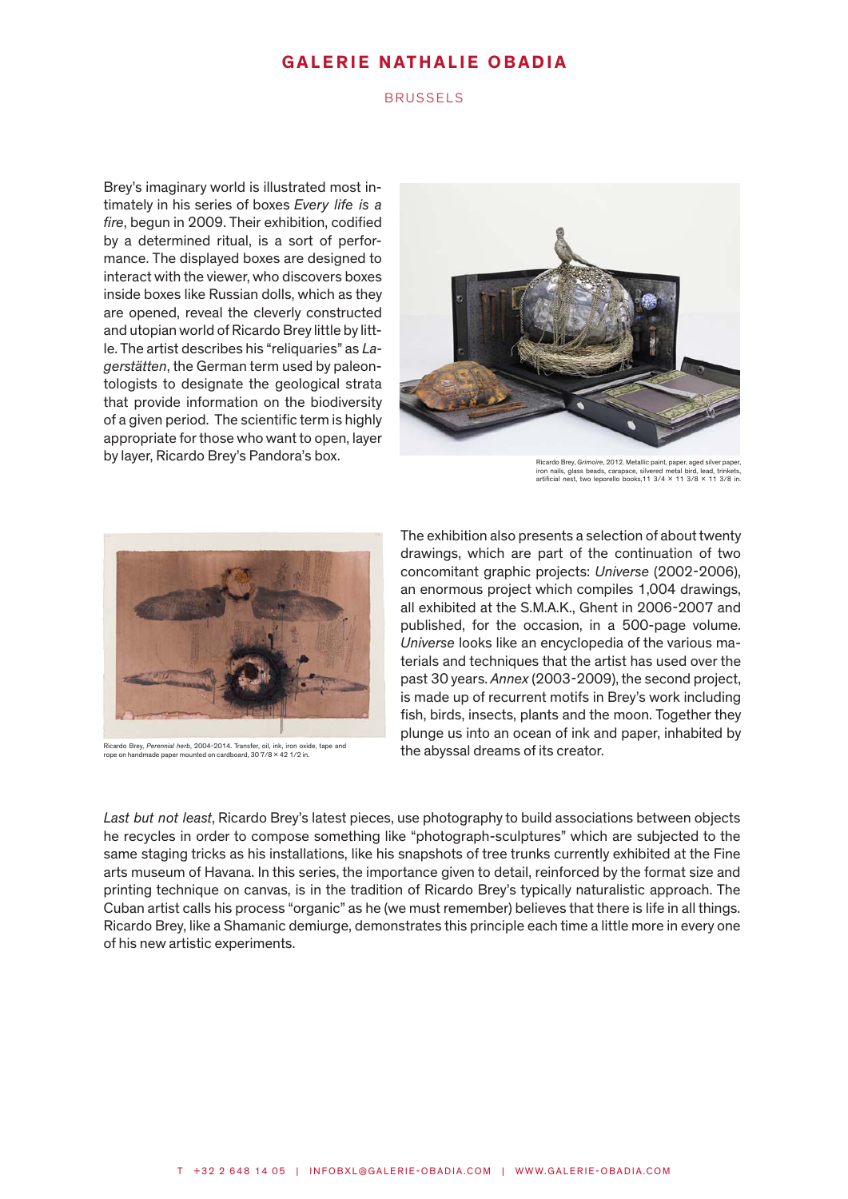### BRUSSELS

Brey's imaginary world is illustrated most intimately in his series of boxes *Every life is a fire*, begun in 2009. Their exhibition, codified by a determined ritual, is a sort of performance. The displayed boxes are designed to interact with the viewer, who discovers boxes inside boxes like Russian dolls, which as they are opened, reveal the cleverly constructed and utopian world of Ricardo Brey little by little. The artist describes his "reliquaries" as *Lagerstätten*, the German term used by paleontologists to designate the geological strata that provide information on the biodiversity of a given period. The scientific term is highly appropriate for those who want to open, layer by layer, Ricardo Brey's Pandora's box.



Ricardo Brey, Grimoire, 2012. Metallic paint, paper, aged silver paper, iron nails, glass beads, carapace, silvered metal bird, lead, trinkets, artificial nest, two leporello books, 11 3/4 × 11 3/8 × 11 3/8 in.



Ricardo Brey, *Perennial herb*, 2004-2014. Transfer, oil, ink, iron oxide, tape and rope on handmade paper mounted on cardboard, 30 7/8 x 42 1/2 in.

The exhibition also presents a selection of about twenty drawings, which are part of the continuation of two concomitant graphic projects: *Universe* (2002-2006), an enormous project which compiles 1,004 drawings, all exhibited at the S.M.A.K., Ghent in 2006-2007 and published, for the occasion, in a 500-page volume. *Universe* looks like an encyclopedia of the various materials and techniques that the artist has used over the past 30 years. *Annex* (2003-2009), the second project, is made up of recurrent motifs in Brey's work including fish, birds, insects, plants and the moon. Together they plunge us into an ocean of ink and paper, inhabited by the abyssal dreams of its creator.

*Last but not least*, Ricardo Brey's latest pieces, use photography to build associations between objects he recycles in order to compose something like "photograph-sculptures" which are subjected to the same staging tricks as his installations, like his snapshots of tree trunks currently exhibited at the Fine arts museum of Havana. In this series, the importance given to detail, reinforced by the format size and printing technique on canvas, is in the tradition of Ricardo Brey's typically naturalistic approach. The Cuban artist calls his process "organic" as he (we must remember) believes that there is life in all things. Ricardo Brey, like a Shamanic demiurge, demonstrates this principle each time a little more in every one of his new artistic experiments.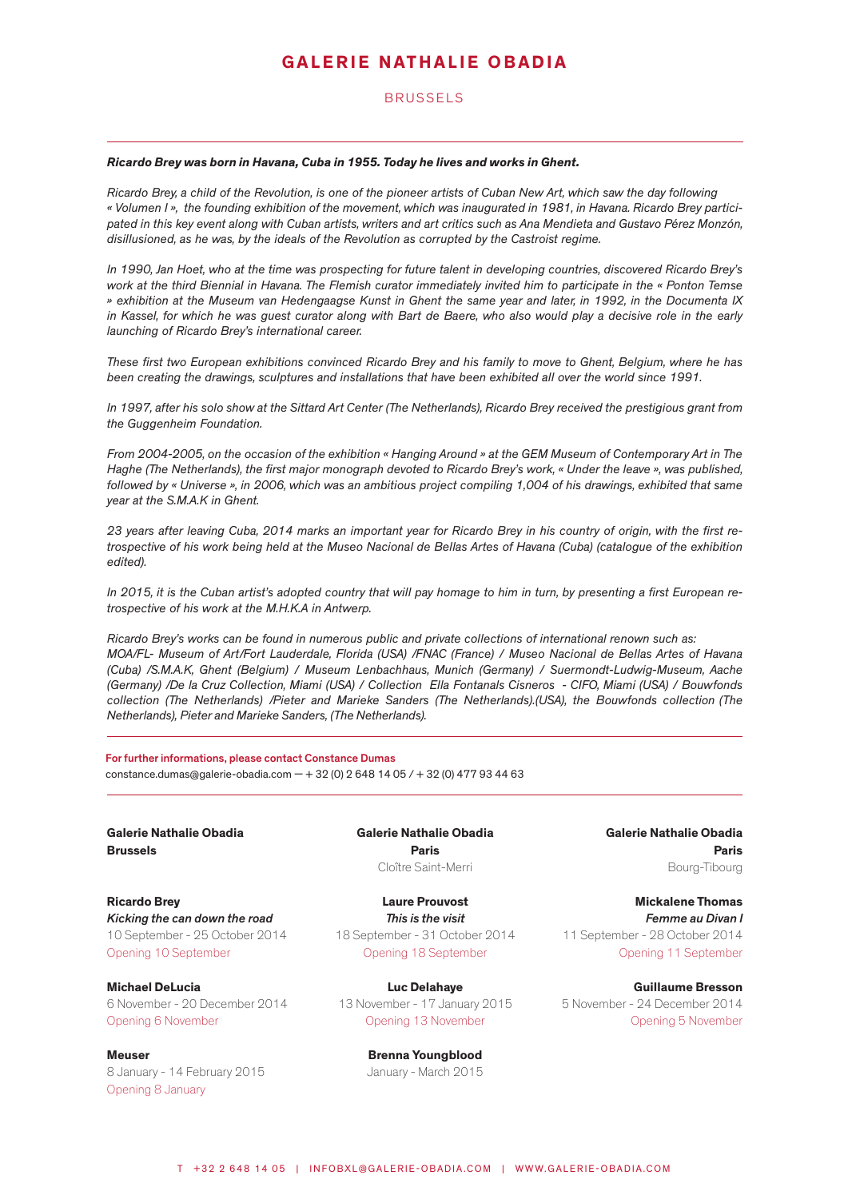### BRUSSELS

#### *Ricardo Brey was born in Havana, Cuba in 1955. Today he lives and works in Ghent.*

*Ricardo Brey, a child of the Revolution, is one of the pioneer artists of Cuban New Art, which saw the day following « Volumen I », the founding exhibition of the movement, which was inaugurated in 1981, in Havana. Ricardo Brey participated in this key event along with Cuban artists, writers and art critics such as Ana Mendieta and Gustavo Pérez Monzón, disillusioned, as he was, by the ideals of the Revolution as corrupted by the Castroist regime.* 

*In 1990, Jan Hoet, who at the time was prospecting for future talent in developing countries, discovered Ricardo Brey's work at the third Biennial in Havana. The Flemish curator immediately invited him to participate in the « Ponton Temse » exhibition at the Museum van Hedengaagse Kunst in Ghent the same year and later, in 1992, in the Documenta IX in Kassel, for which he was guest curator along with Bart de Baere, who also would play a decisive role in the early launching of Ricardo Brey's international career.* 

*These first two European exhibitions convinced Ricardo Brey and his family to move to Ghent, Belgium, where he has been creating the drawings, sculptures and installations that have been exhibited all over the world since 1991.* 

*In 1997, after his solo show at the Sittard Art Center (The Netherlands), Ricardo Brey received the prestigious grant from the Guggenheim Foundation.* 

*From 2004-2005, on the occasion of the exhibition « Hanging Around » at the GEM Museum of Contemporary Art in The Haghe (The Netherlands), the first major monograph devoted to Ricardo Brey's work, « Under the leave », was published, followed by « Universe », in 2006, which was an ambitious project compiling 1,004 of his drawings, exhibited that same year at the S.M.A.K in Ghent.* 

*23 years after leaving Cuba, 2014 marks an important year for Ricardo Brey in his country of origin, with the first retrospective of his work being held at the Museo Nacional de Bellas Artes of Havana (Cuba) (catalogue of the exhibition edited).* 

*In 2015, it is the Cuban artist's adopted country that will pay homage to him in turn, by presenting a first European retrospective of his work at the M.H.K.A in Antwerp.* 

*Ricardo Brey's works can be found in numerous public and private collections of international renown such as: MOA/FL- Museum of Art/Fort Lauderdale, Florida (USA) /FNAC (France) / Museo Nacional de Bellas Artes of Havana (Cuba) /S.M.A.K, Ghent (Belgium) / Museum Lenbachhaus, Munich (Germany) / Suermondt-Ludwig-Museum, Aache (Germany) /De la Cruz Collection, Miami (USA) / Collection Ella Fontanals Cisneros - CIFO, Miami (USA) / Bouwfonds collection (The Netherlands) /Pieter and Marieke Sanders (The Netherlands).(USA), the Bouwfonds collection (The Netherlands), Pieter and Marieke Sanders, (The Netherlands).*

For further informations, please contact Constance Dumas constance.dumas@galerie-obadia.com  $- + 32$  (0) 2 648 14 05 /  $+ 32$  (0) 477 93 44 63

Galerie Nathalie Obadia Brussels

Paris Cloître Saint-Merri

Ricardo Brey *Kicking the can down the road* 10 September - 25 October 2014 Opening 10 September

Michael DeLucia 6 November - 20 December 2014 Opening 6 November

Meuser 8 January - 14 February 2015 Opening 8 January

Laure Prouvost *This is the visit* 18 September - 31 October 2014 Opening 18 September

Galerie Nathalie Obadia

Luc Delahaye 13 November - 17 January 2015 Opening 13 November

> Brenna Youngblood January - March 2015

Galerie Nathalie Obadia Paris Bourg-Tibourg

Mickalene Thomas *Femme au Divan I* 11 September - 28 October 2014 Opening 11 September

Guillaume Bresson 5 November - 24 December 2014 Opening 5 November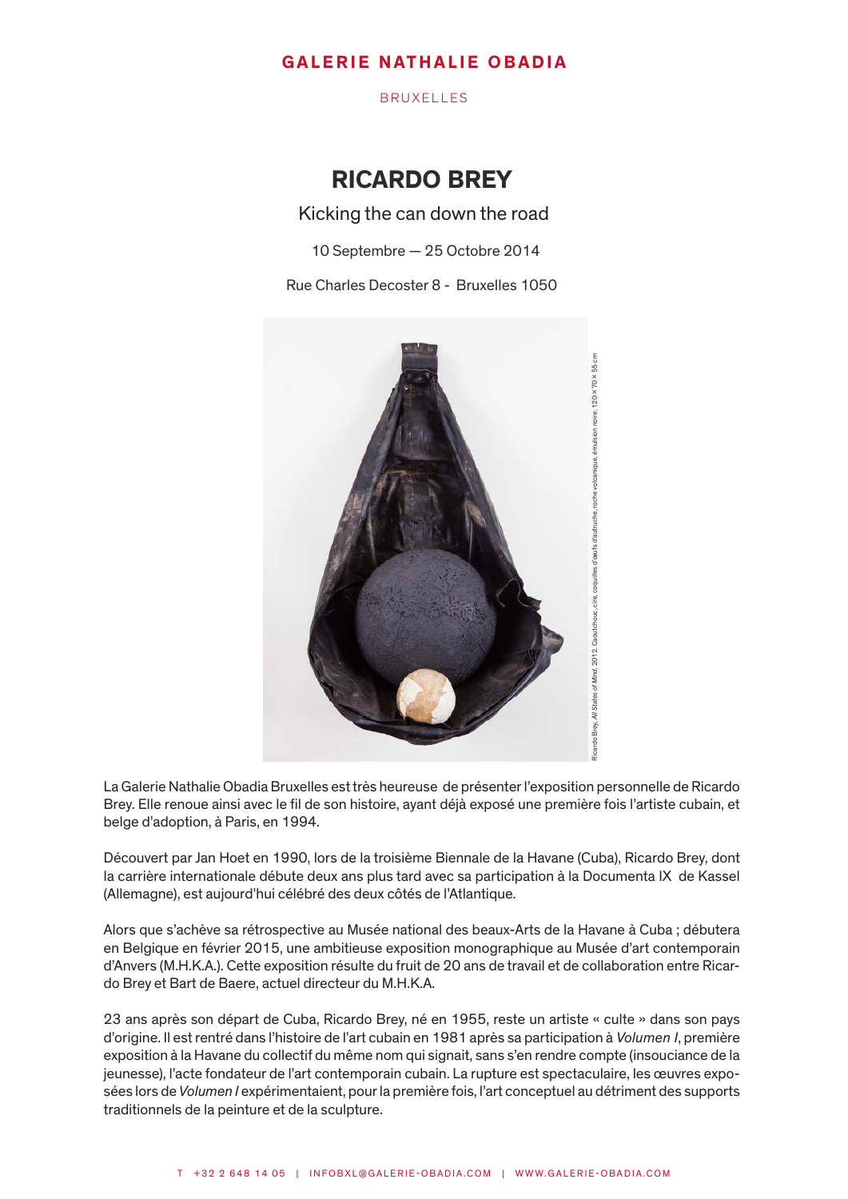BRUXELLES

# RICARDO BREY

Kicking the can down the road

10 Septembre — 25 Octobre 2014

Rue Charles Decoster 8 - Bruxelles 1050



La Galerie Nathalie Obadia Bruxelles est très heureuse de présenter l'exposition personnelle de Ricardo Brey. Elle renoue ainsi avec le fil de son histoire, ayant déjà exposé une première fois l'artiste cubain, et belge d'adoption, à Paris, en 1994.

Découvert par Jan Hoet en 1990, lors de la troisième Biennale de la Havane (Cuba), Ricardo Brey, dont la carrière internationale débute deux ans plus tard avec sa participation à la Documenta IX de Kassel (Allemagne), est aujourd'hui célébré des deux côtés de l'Atlantique.

Alors que s'achève sa rétrospective au Musée national des beaux-Arts de la Havane à Cuba ; débutera en Belgique en février 2015, une ambitieuse exposition monographique au Musée d'art contemporain d'Anvers (M.H.K.A.). Cette exposition résulte du fruit de 20 ans de travail et de collaboration entre Ricardo Brey et Bart de Baere, actuel directeur du M.H.K.A.

23 ans après son départ de Cuba, Ricardo Brey, né en 1955, reste un artiste « culte » dans son pays d'origine. Il est rentré dans l'histoire de l'art cubain en 1981 après sa participation à *Volumen I*, première exposition à la Havane du collectif du même nom qui signait, sans s'en rendre compte (insouciance de la jeunesse), l'acte fondateur de l'art contemporain cubain. La rupture est spectaculaire, les œuvres exposées lors de *Volumen I* expérimentaient, pour la première fois, l'art conceptuel au détriment des supports traditionnels de la peinture et de la sculpture.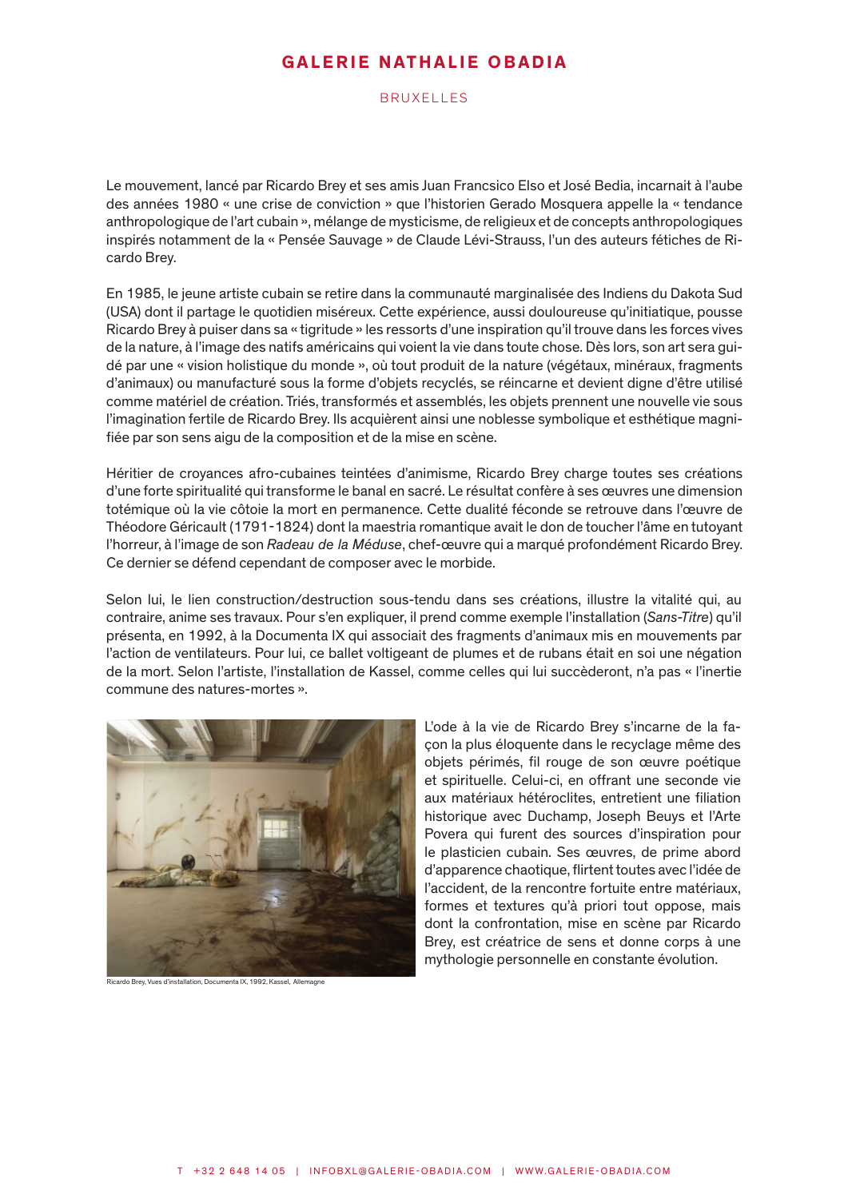### BRUXELLES

Le mouvement, lancé par Ricardo Brey et ses amis Juan Francsico Elso et José Bedia, incarnait à l'aube des années 1980 « une crise de conviction » que l'historien Gerado Mosquera appelle la « tendance anthropologique de l'art cubain », mélange de mysticisme, de religieux et de concepts anthropologiques inspirés notamment de la « Pensée Sauvage » de Claude Lévi-Strauss, l'un des auteurs fétiches de Ricardo Brey.

En 1985, le jeune artiste cubain se retire dans la communauté marginalisée des Indiens du Dakota Sud (USA) dont il partage le quotidien miséreux. Cette expérience, aussi douloureuse qu'initiatique, pousse Ricardo Brey à puiser dans sa « tigritude » les ressorts d'une inspiration qu'il trouve dans les forces vives de la nature, à l'image des natifs américains qui voient la vie dans toute chose. Dès lors, son art sera guidé par une « vision holistique du monde », où tout produit de la nature (végétaux, minéraux, fragments d'animaux) ou manufacturé sous la forme d'objets recyclés, se réincarne et devient digne d'être utilisé comme matériel de création. Triés, transformés et assemblés, les objets prennent une nouvelle vie sous l'imagination fertile de Ricardo Brey. Ils acquièrent ainsi une noblesse symbolique et esthétique magnifiée par son sens aigu de la composition et de la mise en scène.

Héritier de croyances afro-cubaines teintées d'animisme, Ricardo Brey charge toutes ses créations d'une forte spiritualité qui transforme le banal en sacré. Le résultat confère à ses œuvres une dimension totémique où la vie côtoie la mort en permanence. Cette dualité féconde se retrouve dans l'œuvre de Théodore Géricault (1791-1824) dont la maestria romantique avait le don de toucher l'âme en tutoyant l'horreur, à l'image de son *Radeau de la Méduse*, chef-œuvre qui a marqué profondément Ricardo Brey. Ce dernier se défend cependant de composer avec le morbide.

Selon lui, le lien construction/destruction sous-tendu dans ses créations, illustre la vitalité qui, au contraire, anime ses travaux. Pour s'en expliquer, il prend comme exemple l'installation (*Sans-Titre*) qu'il présenta, en 1992, à la Documenta IX qui associait des fragments d'animaux mis en mouvements par l'action de ventilateurs. Pour lui, ce ballet voltigeant de plumes et de rubans était en soi une négation de la mort. Selon l'artiste, l'installation de Kassel, comme celles qui lui succèderont, n'a pas « l'inertie commune des natures-mortes ».



cardo Brey, Vues d'installation, Documenta IX, 1992, Kassel, Allemagne

L'ode à la vie de Ricardo Brey s'incarne de la façon la plus éloquente dans le recyclage même des objets périmés, fil rouge de son œuvre poétique et spirituelle. Celui-ci, en offrant une seconde vie aux matériaux hétéroclites, entretient une filiation historique avec Duchamp, Joseph Beuys et l'Arte Povera qui furent des sources d'inspiration pour le plasticien cubain. Ses œuvres, de prime abord d'apparence chaotique, flirtent toutes avec l'idée de l'accident, de la rencontre fortuite entre matériaux, formes et textures qu'à priori tout oppose, mais dont la confrontation, mise en scène par Ricardo Brey, est créatrice de sens et donne corps à une mythologie personnelle en constante évolution.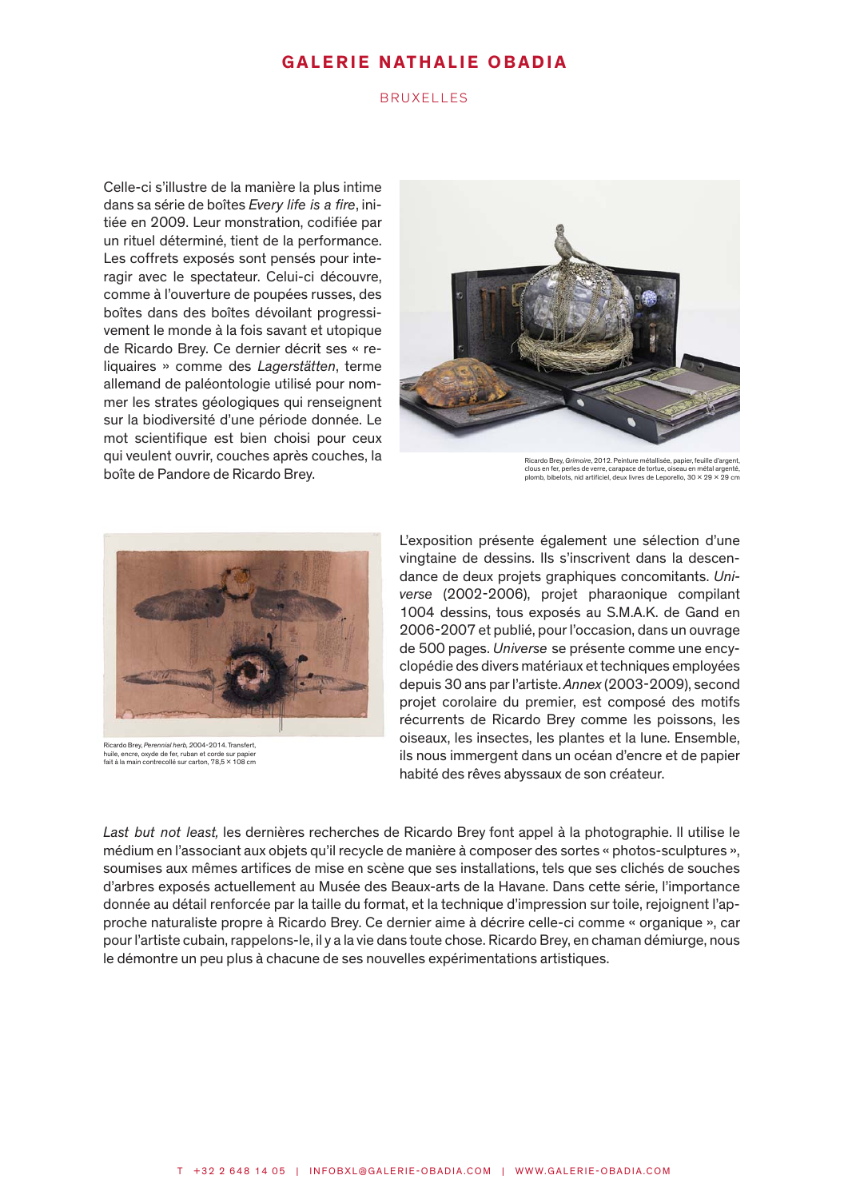### BRUXELLES

Celle-ci s'illustre de la manière la plus intime dans sa série de boîtes *Every life is a fire*, initiée en 2009. Leur monstration, codifiée par un rituel déterminé, tient de la performance. Les coffrets exposés sont pensés pour interagir avec le spectateur. Celui-ci découvre, comme à l'ouverture de poupées russes, des boîtes dans des boîtes dévoilant progressivement le monde à la fois savant et utopique de Ricardo Brey. Ce dernier décrit ses « reliquaires » comme des *Lagerstätten*, terme allemand de paléontologie utilisé pour nommer les strates géologiques qui renseignent sur la biodiversité d'une période donnée. Le mot scientifique est bien choisi pour ceux qui veulent ouvrir, couches après couches, la boîte de Pandore de Ricardo Brey.



Ricardo Brey, *Grimoire*, 2012. Peinture métallisée, papier, feuille d'argent, clous en fer, perles de verre, carapace de tortue, oiseau en métal argenté, plomb, bibelots, nid artificiel, deux livres de Leporello, 30 x 29 x 29 cm



Ricardo Brey, *Perennial herb, 2*004-2014. Transfert, huile, encre, oxyde de fer, ruban et corde sur papier fait à la main contrecollé sur carton, 78,5 x 108 cm

L'exposition présente également une sélection d'une vingtaine de dessins. Ils s'inscrivent dans la descendance de deux projets graphiques concomitants. *Universe* (2002-2006), projet pharaonique compilant 1004 dessins, tous exposés au S.M.A.K. de Gand en 2006-2007 et publié, pour l'occasion, dans un ouvrage de 500 pages. *Universe* se présente comme une encyclopédie des divers matériaux et techniques employées depuis 30 ans par l'artiste. *Annex* (2003-2009), second projet corolaire du premier, est composé des motifs récurrents de Ricardo Brey comme les poissons, les oiseaux, les insectes, les plantes et la lune. Ensemble, ils nous immergent dans un océan d'encre et de papier habité des rêves abyssaux de son créateur.

*Last but not least,* les dernières recherches de Ricardo Brey font appel à la photographie. Il utilise le médium en l'associant aux objets qu'il recycle de manière à composer des sortes « photos-sculptures », soumises aux mêmes artifices de mise en scène que ses installations, tels que ses clichés de souches d'arbres exposés actuellement au Musée des Beaux-arts de la Havane. Dans cette série, l'importance donnée au détail renforcée par la taille du format, et la technique d'impression sur toile, rejoignent l'approche naturaliste propre à Ricardo Brey. Ce dernier aime à décrire celle-ci comme « organique », car pour l'artiste cubain, rappelons-le, il y a la vie dans toute chose. Ricardo Brey, en chaman démiurge, nous le démontre un peu plus à chacune de ses nouvelles expérimentations artistiques.